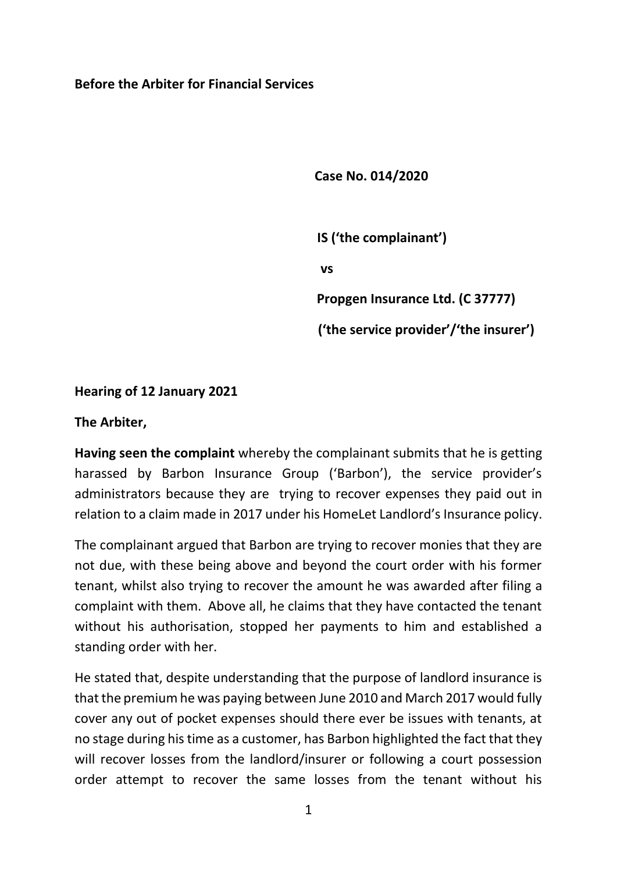## **Before the Arbiter for Financial Services**

**Case No. 014/2020**

 **IS ('the complainant') vs Propgen Insurance Ltd. (C 37777) ('the service provider'/'the insurer')**

## **Hearing of 12 January 2021**

## **The Arbiter,**

**Having seen the complaint** whereby the complainant submits that he is getting harassed by Barbon Insurance Group ('Barbon'), the service provider's administrators because they are trying to recover expenses they paid out in relation to a claim made in 2017 under his HomeLet Landlord's Insurance policy.

The complainant argued that Barbon are trying to recover monies that they are not due, with these being above and beyond the court order with his former tenant, whilst also trying to recover the amount he was awarded after filing a complaint with them. Above all, he claims that they have contacted the tenant without his authorisation, stopped her payments to him and established a standing order with her.

He stated that, despite understanding that the purpose of landlord insurance is that the premium he was paying between June 2010 and March 2017 would fully cover any out of pocket expenses should there ever be issues with tenants, at no stage during his time as a customer, has Barbon highlighted the fact that they will recover losses from the landlord/insurer or following a court possession order attempt to recover the same losses from the tenant without his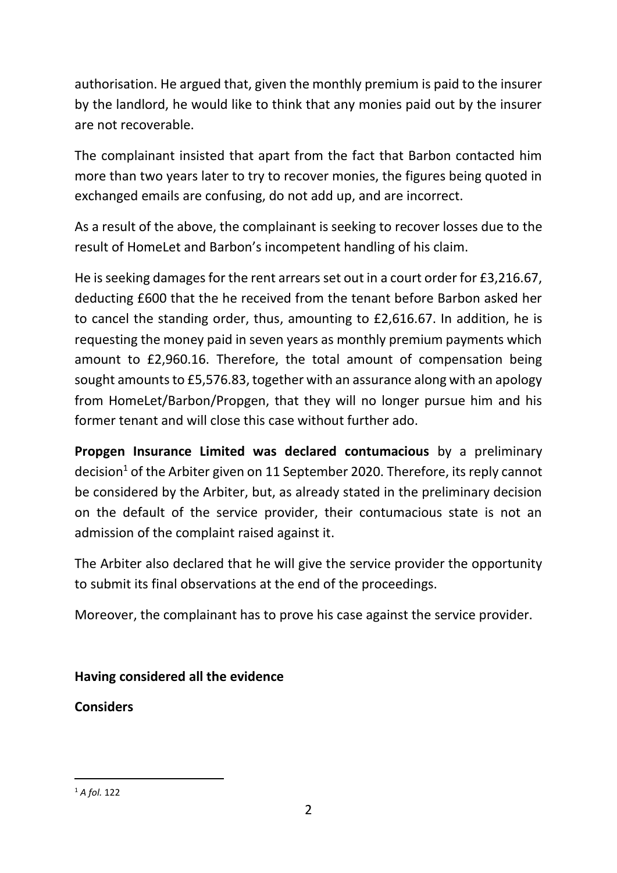authorisation. He argued that, given the monthly premium is paid to the insurer by the landlord, he would like to think that any monies paid out by the insurer are not recoverable.

The complainant insisted that apart from the fact that Barbon contacted him more than two years later to try to recover monies, the figures being quoted in exchanged emails are confusing, do not add up, and are incorrect.

As a result of the above, the complainant is seeking to recover losses due to the result of HomeLet and Barbon's incompetent handling of his claim.

He is seeking damages for the rent arrears set out in a court order for £3,216.67, deducting £600 that the he received from the tenant before Barbon asked her to cancel the standing order, thus, amounting to £2,616.67. In addition, he is requesting the money paid in seven years as monthly premium payments which amount to £2,960.16. Therefore, the total amount of compensation being sought amounts to £5,576.83, together with an assurance along with an apology from HomeLet/Barbon/Propgen, that they will no longer pursue him and his former tenant and will close this case without further ado.

**Propgen Insurance Limited was declared contumacious** by a preliminary decision<sup>1</sup> of the Arbiter given on 11 September 2020. Therefore, its reply cannot be considered by the Arbiter, but, as already stated in the preliminary decision on the default of the service provider, their contumacious state is not an admission of the complaint raised against it.

The Arbiter also declared that he will give the service provider the opportunity to submit its final observations at the end of the proceedings.

Moreover, the complainant has to prove his case against the service provider.

**Having considered all the evidence**

**Considers**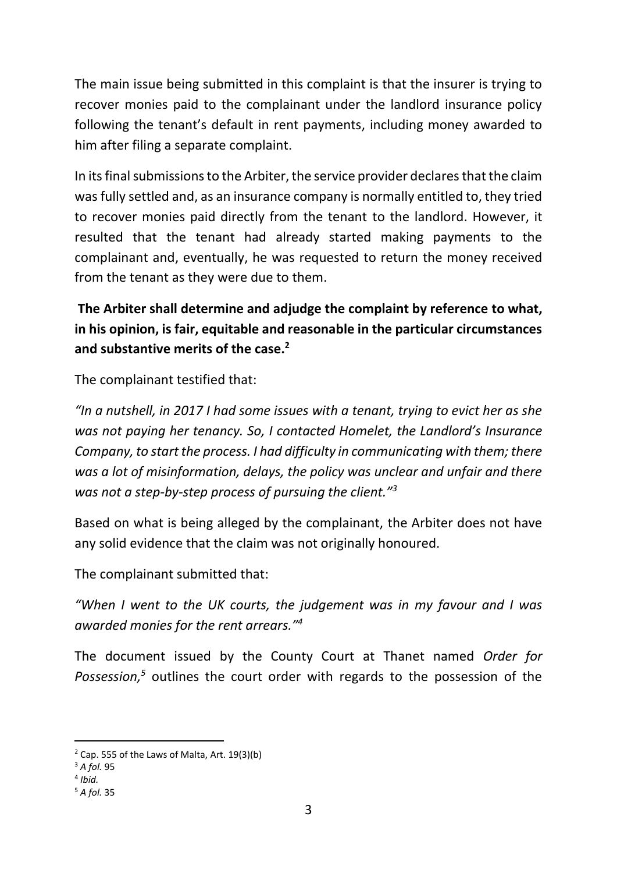The main issue being submitted in this complaint is that the insurer is trying to recover monies paid to the complainant under the landlord insurance policy following the tenant's default in rent payments, including money awarded to him after filing a separate complaint.

In its final submissions to the Arbiter, the service provider declares that the claim was fully settled and, as an insurance company is normally entitled to, they tried to recover monies paid directly from the tenant to the landlord. However, it resulted that the tenant had already started making payments to the complainant and, eventually, he was requested to return the money received from the tenant as they were due to them.

**The Arbiter shall determine and adjudge the complaint by reference to what, in his opinion, is fair, equitable and reasonable in the particular circumstances and substantive merits of the case.<sup>2</sup>**

The complainant testified that:

*"In a nutshell, in 2017 I had some issues with a tenant, trying to evict her as she was not paying her tenancy. So, I contacted Homelet, the Landlord's Insurance Company, to start the process. I had difficulty in communicating with them; there was a lot of misinformation, delays, the policy was unclear and unfair and there was not a step-by-step process of pursuing the client."<sup>3</sup>*

Based on what is being alleged by the complainant, the Arbiter does not have any solid evidence that the claim was not originally honoured.

The complainant submitted that:

*"When I went to the UK courts, the judgement was in my favour and I was awarded monies for the rent arrears."<sup>4</sup>*

The document issued by the County Court at Thanet named *Order for Possession, <sup>5</sup>* outlines the court order with regards to the possession of the

 $2$  Cap. 555 of the Laws of Malta, Art. 19(3)(b)

<sup>3</sup> *A fol.* 95

<sup>4</sup> *Ibid.*

<sup>5</sup> *A fol.* 35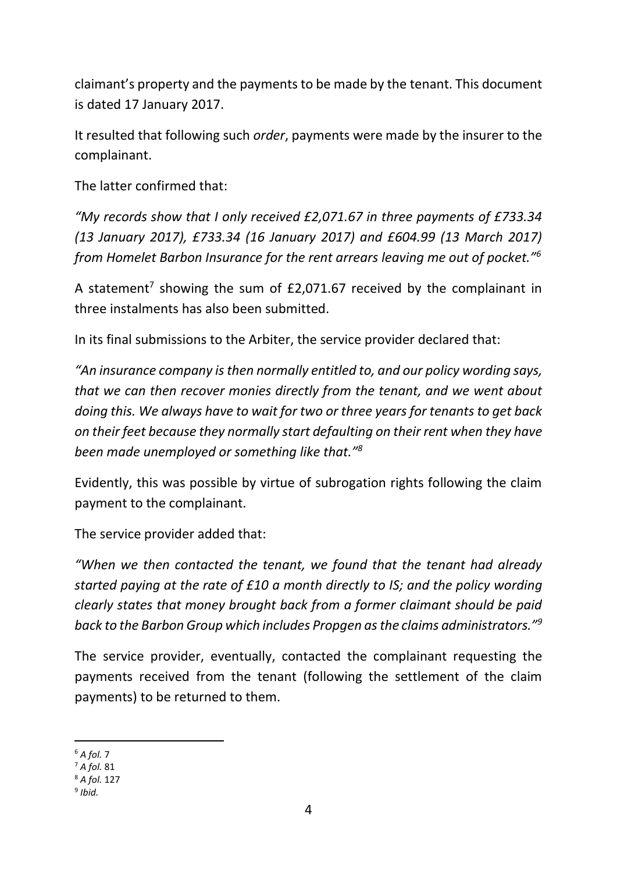claimant's property and the payments to be made by the tenant. This document is dated 17 January 2017.

It resulted that following such *order*, payments were made by the insurer to the complainant.

The latter confirmed that:

*"My records show that I only received £2,071.67 in three payments of £733.34 (13 January 2017), £733.34 (16 January 2017) and £604.99 (13 March 2017) from Homelet Barbon Insurance for the rent arrears leaving me out of pocket."<sup>6</sup>*

A statement<sup>7</sup> showing the sum of  $£2,071.67$  received by the complainant in three instalments has also been submitted.

In its final submissions to the Arbiter, the service provider declared that:

*"An insurance company is then normally entitled to, and our policy wording says, that we can then recover monies directly from the tenant, and we went about doing this. We always have to wait for two or three years for tenants to get back on their feet because they normally start defaulting on their rent when they have been made unemployed or something like that."<sup>8</sup>*

Evidently, this was possible by virtue of subrogation rights following the claim payment to the complainant.

The service provider added that:

*"When we then contacted the tenant, we found that the tenant had already started paying at the rate of £10 a month directly to IS; and the policy wording clearly states that money brought back from a former claimant should be paid back to the Barbon Group which includes Propgen as the claims administrators."<sup>9</sup>*

The service provider, eventually, contacted the complainant requesting the payments received from the tenant (following the settlement of the claim payments) to be returned to them.

<sup>6</sup> *A fol.* 7

<sup>7</sup> *A fol.* 81

<sup>8</sup> *A fol.* 127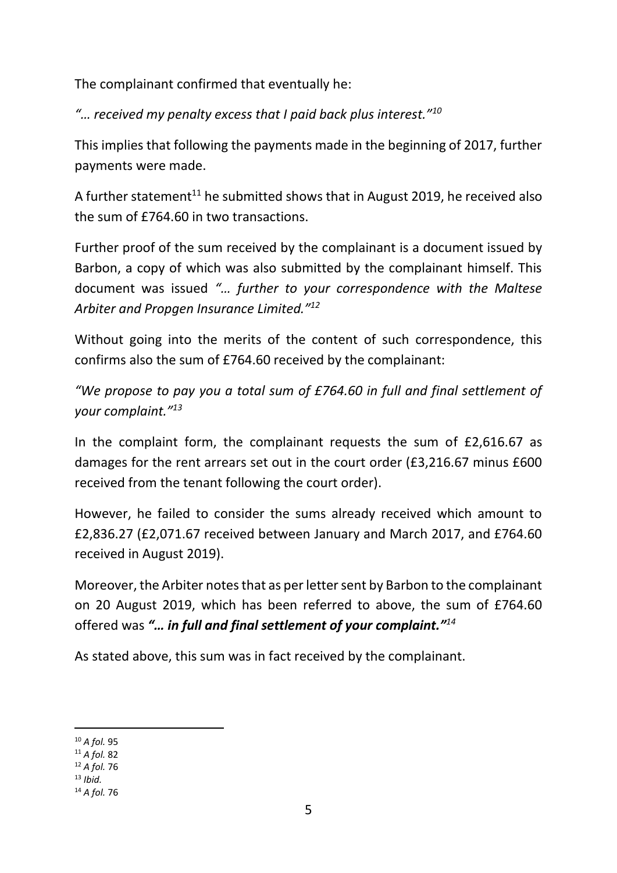The complainant confirmed that eventually he:

*"… received my penalty excess that I paid back plus interest."<sup>10</sup>*

This implies that following the payments made in the beginning of 2017, further payments were made.

A further statement<sup>11</sup> he submitted shows that in August 2019, he received also the sum of £764.60 in two transactions.

Further proof of the sum received by the complainant is a document issued by Barbon, a copy of which was also submitted by the complainant himself. This document was issued *"… further to your correspondence with the Maltese Arbiter and Propgen Insurance Limited."<sup>12</sup>*

Without going into the merits of the content of such correspondence, this confirms also the sum of £764.60 received by the complainant:

*"We propose to pay you a total sum of £764.60 in full and final settlement of your complaint."<sup>13</sup>*

In the complaint form, the complainant requests the sum of £2,616.67 as damages for the rent arrears set out in the court order (£3,216.67 minus £600 received from the tenant following the court order).

However, he failed to consider the sums already received which amount to £2,836.27 (£2,071.67 received between January and March 2017, and £764.60 received in August 2019).

Moreover, the Arbiter notes that as per letter sent by Barbon to the complainant on 20 August 2019, which has been referred to above, the sum of £764.60 offered was *"… in full and final settlement of your complaint."<sup>14</sup>* 

As stated above, this sum was in fact received by the complainant.

<sup>10</sup> *A fol.* 95

<sup>11</sup> *A fol.* 82

<sup>12</sup> *A fol.* 76

<sup>13</sup> *Ibid.*

<sup>14</sup> *A fol.* 76